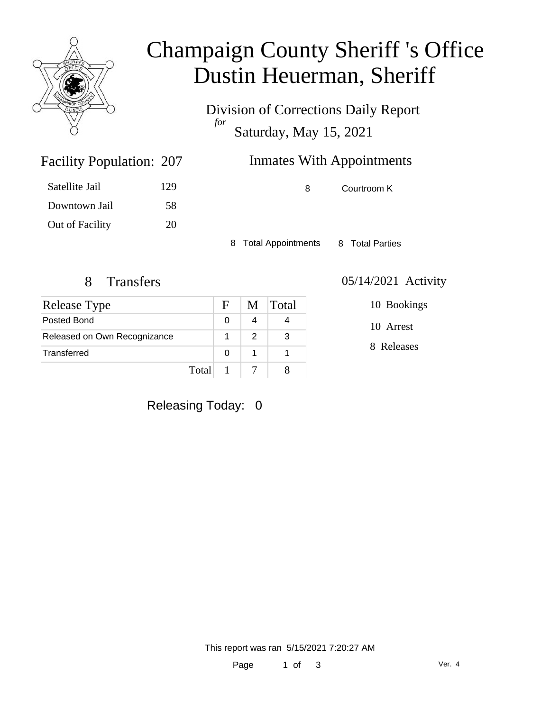

## Champaign County Sheriff 's Office Dustin Heuerman, Sheriff

Division of Corrections Daily Report *for* Saturday, May 15, 2021

### Inmates With Appointments

| Satellite Jail  | 129 |
|-----------------|-----|
| Downtown Jail   | 58  |
| Out of Facility | 20  |

Facility Population: 207

8 Courtroom K

8 Total Appointments 8 Total Parties

| <b>Release Type</b>          | $\mathbf{F}$ |   | M Total |
|------------------------------|--------------|---|---------|
| Posted Bond                  |              |   |         |
| Released on Own Recognizance |              | 2 | 3       |
| Transferred                  | O            |   |         |
|                              | Total        |   |         |

#### 8 Transfers 05/14/2021 Activity

10 Bookings

10 Arrest

8 Releases

### Releasing Today: 0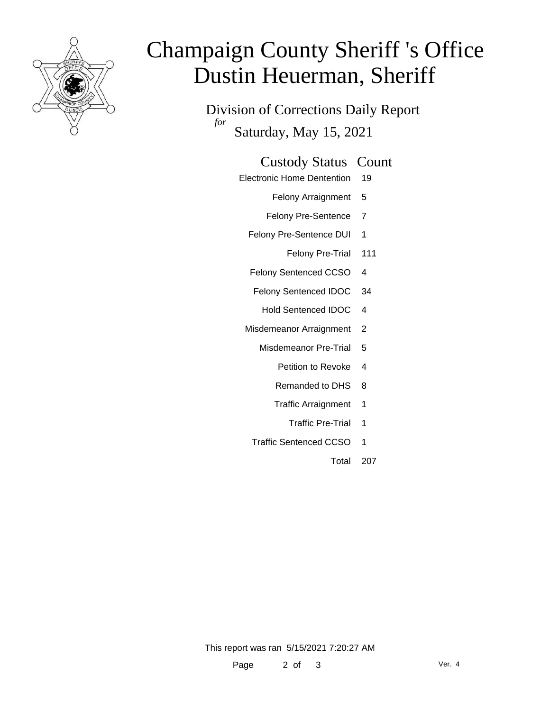

# Champaign County Sheriff 's Office Dustin Heuerman, Sheriff

Division of Corrections Daily Report *for* Saturday, May 15, 2021

#### Custody Status Count

- Electronic Home Dentention 19
	- Felony Arraignment 5
	- Felony Pre-Sentence 7
	- Felony Pre-Sentence DUI 1
		- Felony Pre-Trial 111
	- Felony Sentenced CCSO 4
	- Felony Sentenced IDOC 34
		- Hold Sentenced IDOC 4
	- Misdemeanor Arraignment 2
		- Misdemeanor Pre-Trial 5
			- Petition to Revoke 4
			- Remanded to DHS 8
			- Traffic Arraignment 1
				- Traffic Pre-Trial 1
		- Traffic Sentenced CCSO 1
			- Total 207

This report was ran 5/15/2021 7:20:27 AM